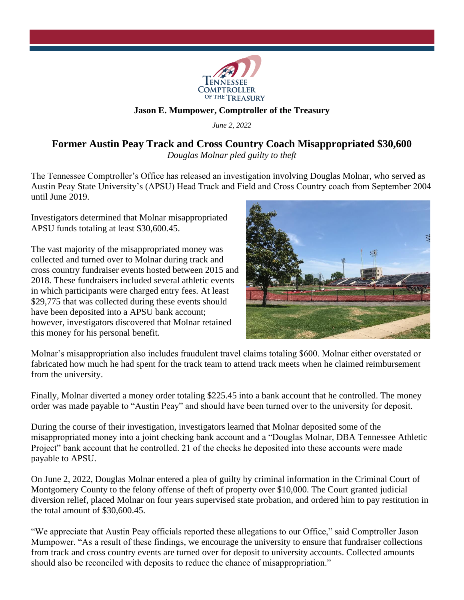

## **Jason E. Mumpower, Comptroller of the Treasury**

*June 2, 2022*

## **Former Austin Peay Track and Cross Country Coach Misappropriated \$30,600**

*Douglas Molnar pled guilty to theft*

The Tennessee Comptroller's Office has released an investigation involving Douglas Molnar, who served as Austin Peay State University's (APSU) Head Track and Field and Cross Country coach from September 2004 until June 2019.

Investigators determined that Molnar misappropriated APSU funds totaling at least \$30,600.45.

The vast majority of the misappropriated money was collected and turned over to Molnar during track and cross country fundraiser events hosted between 2015 and 2018. These fundraisers included several athletic events in which participants were charged entry fees. At least \$29,775 that was collected during these events should have been deposited into a APSU bank account; however, investigators discovered that Molnar retained this money for his personal benefit.



Molnar's misappropriation also includes fraudulent travel claims totaling \$600. Molnar either overstated or fabricated how much he had spent for the track team to attend track meets when he claimed reimbursement from the university.

Finally, Molnar diverted a money order totaling \$225.45 into a bank account that he controlled. The money order was made payable to "Austin Peay" and should have been turned over to the university for deposit.

During the course of their investigation, investigators learned that Molnar deposited some of the misappropriated money into a joint checking bank account and a "Douglas Molnar, DBA Tennessee Athletic Project" bank account that he controlled. 21 of the checks he deposited into these accounts were made payable to APSU.

On June 2, 2022, Douglas Molnar entered a plea of guilty by criminal information in the Criminal Court of Montgomery County to the felony offense of theft of property over \$10,000. The Court granted judicial diversion relief, placed Molnar on four years supervised state probation, and ordered him to pay restitution in the total amount of \$30,600.45.

"We appreciate that Austin Peay officials reported these allegations to our Office," said Comptroller Jason Mumpower. "As a result of these findings, we encourage the university to ensure that fundraiser collections from track and cross country events are turned over for deposit to university accounts. Collected amounts should also be reconciled with deposits to reduce the chance of misappropriation."